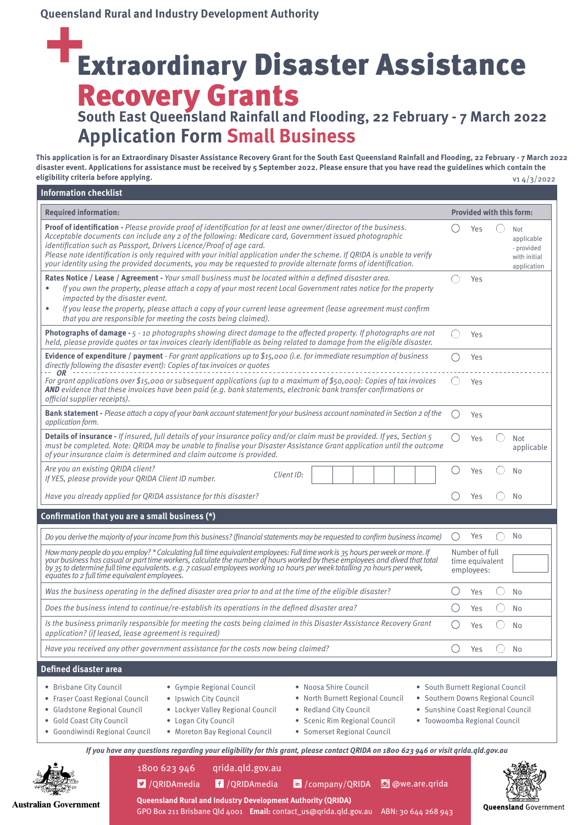### Extraordinary Disaster Assistance Recovery Grants **South East Queensland Rainfall and Flooding, 22 February - 7 March 2022**

### **Application Form Small Business**

**This application is for an Extraordinary Disaster Assistance Recovery Grant for the South East Queensland Rainfall and Flooding, 22 February - 7 March 2022 disaster event. Applications for assistance must be received by 5 September 2022. Please ensure that you have read the guidelines which contain the eligibility criteria before applying.** v1 4/3/2022

| <b>Required information:</b>                                                                                                                                                                                                                                                                                                                                                                                                                                                                                                                                                                                     |                 | <b>Provided with this form:</b>                 |                                                                |
|------------------------------------------------------------------------------------------------------------------------------------------------------------------------------------------------------------------------------------------------------------------------------------------------------------------------------------------------------------------------------------------------------------------------------------------------------------------------------------------------------------------------------------------------------------------------------------------------------------------|-----------------|-------------------------------------------------|----------------------------------------------------------------|
| Proof of identification - Please provide proof of identification for at least one owner/director of the business.<br>Acceptable documents can include any 2 of the following: Medicare card, Government issued photographic<br>identification such as Passport, Drivers Licence/Proof of age card.<br>Please note identification is only required with your initial application under the scheme. If QRIDA is unable to verify<br>your identity using the provided documents, you may be requested to provide alternate forms of identification.                                                                 | $($ )           | Yes                                             | Not<br>applicable<br>- provided<br>with initial<br>application |
| Rates Notice / Lease / Agreement - Your small business must be located within a defined disaster area.<br>If you own the property, please attach a copy of your most recent Local Government rates notice for the property<br>impacted by the disaster event.<br>If you lease the property, please attach a copy of your current lease agreement (lease agreement must confirm<br>that you are responsible for meeting the costs being claimed).                                                                                                                                                                 |                 | Yes                                             |                                                                |
| Photographs of damage - 5 - 10 photographs showing direct damage to the affected property. If photographs are not<br>held, please provide quotes or tax invoices clearly identifiable as being related to damage from the eligible disaster.                                                                                                                                                                                                                                                                                                                                                                     | 0               | Yes                                             |                                                                |
| Evidence of expenditure / payment - For grant applications up to \$15,000 (i.e. for immediate resumption of business<br>directly following the disaster event): Copies of tax invoices or quotes                                                                                                                                                                                                                                                                                                                                                                                                                 | ( )             | Yes                                             |                                                                |
| OR<br>For grant applications over \$15,000 or subsequent applications (up to a maximum of \$50,000): Copies of tax invoices<br>AND evidence that these invoices have been paid (e.g. bank statements, electronic bank transfer confirmations or<br>official supplier receipts).                                                                                                                                                                                                                                                                                                                                  | ( )             | Yes                                             |                                                                |
| Bank statement - Please attach a copy of your bank account statement for your business account nominated in Section 2 of the<br>application form.                                                                                                                                                                                                                                                                                                                                                                                                                                                                | $\bigcirc$      | Yes                                             |                                                                |
| Details of insurance - If insured, full details of your insurance policy and/or claim must be provided. If yes, Section 5<br>must be completed. Note: QRIDA may be unable to finalise your Disaster Assistance Grant application until the outcome<br>of your insurance claim is determined and claim outcome is provided.                                                                                                                                                                                                                                                                                       | ( )             | Yes                                             | Not<br>applicable                                              |
| Are you an existing QRIDA client?<br>Client ID:<br>If YES, please provide your QRIDA Client ID number.                                                                                                                                                                                                                                                                                                                                                                                                                                                                                                           | ()              | Yes                                             | N <sub>o</sub>                                                 |
| Have you already applied for QRIDA assistance for this disaster?                                                                                                                                                                                                                                                                                                                                                                                                                                                                                                                                                 |                 | Yes                                             | No                                                             |
| Confirmation that you are a small business (*)                                                                                                                                                                                                                                                                                                                                                                                                                                                                                                                                                                   |                 |                                                 |                                                                |
| Do you derive the majority of your income from this business? (financial statements may be requested to confirm business income)                                                                                                                                                                                                                                                                                                                                                                                                                                                                                 | $\left(\right)$ | Yes                                             | <b>No</b>                                                      |
| How many people do you employ? * Calculating full time equivalent employees: Full time work is 35 hours per week or more. If<br>your business has casual or part time workers, calculate the number of hours worked by these employees and dived that total<br>by 35 to determine full time equivalents. e.g. 7 casual employees working 10 hours per week totalling 70 hours per week,<br>equates to 2 full time equivalent employees.                                                                                                                                                                          |                 | Number of full<br>time equivalent<br>employees: |                                                                |
| Was the business operating in the defined disaster area prior to and at the time of the eligible disaster?                                                                                                                                                                                                                                                                                                                                                                                                                                                                                                       | ( )             | Yes                                             | <b>No</b>                                                      |
| Does the business intend to continue/re-establish its operations in the defined disaster area?                                                                                                                                                                                                                                                                                                                                                                                                                                                                                                                   | ( )             | Yes                                             | <b>No</b>                                                      |
| Is the business primarily responsible for meeting the costs being claimed in this Disaster Assistance Recovery Grant                                                                                                                                                                                                                                                                                                                                                                                                                                                                                             | $\bigcirc$      | Yes                                             | No                                                             |
|                                                                                                                                                                                                                                                                                                                                                                                                                                                                                                                                                                                                                  | ()              | Yes                                             | No                                                             |
|                                                                                                                                                                                                                                                                                                                                                                                                                                                                                                                                                                                                                  |                 |                                                 |                                                                |
| application? (if leased, lease agreement is required)<br>Have you received any other government assistance for the costs now being claimed?<br><b>Defined disaster area</b>                                                                                                                                                                                                                                                                                                                                                                                                                                      |                 |                                                 |                                                                |
| • Brisbane City Council<br>· Gympie Regional Council<br>• Noosa Shire Council<br>• South Burnett Regional Council<br>· Southern Downs Regional Council<br>• Fraser Coast Regional Council<br>· Ipswich City Council<br>North Burnett Regional Council<br>• Redland City Council<br>· Sunshine Coast Regional Council<br>• Gladstone Regional Council<br>• Lockyer Valley Regional Council<br>· Gold Coast City Council<br>• Logan City Council<br>· Toowoomba Regional Council<br>Scenic Rim Regional Council<br>· Goondiwindi Regional Council<br>• Moreton Bay Regional Council<br>· Somerset Regional Council |                 |                                                 |                                                                |
| If you have any questions regarding your eligibility for this grant, please contact QRIDA on 1800 623 946 or visit qrida.qld.gov.au                                                                                                                                                                                                                                                                                                                                                                                                                                                                              |                 |                                                 |                                                                |
| qrida.qld.gov.au<br>1800 623 946                                                                                                                                                                                                                                                                                                                                                                                                                                                                                                                                                                                 |                 |                                                 |                                                                |

**Australian Government** 

GPO Box 211 Brisbane Qld 4001 **Email:** contact\_us@qrida.qld.gov.au ABN: 30 644 268 943

**Oueensland Government**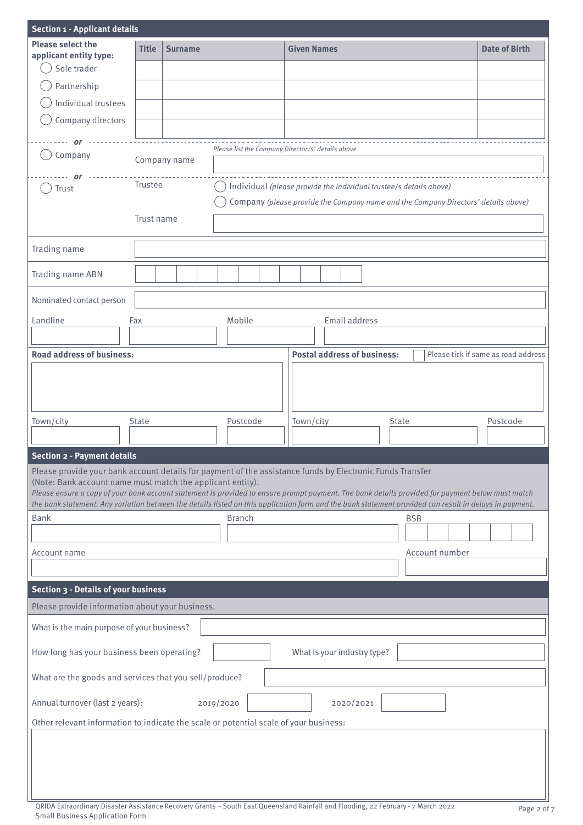| <b>Section 1 - Applicant details</b>                                                                                                                                                                                                                                                                                                                                                                                                                                                  |              |                |  |                                                   |  |  |                                    |  |               |       |            |                |  |                                     |  |
|---------------------------------------------------------------------------------------------------------------------------------------------------------------------------------------------------------------------------------------------------------------------------------------------------------------------------------------------------------------------------------------------------------------------------------------------------------------------------------------|--------------|----------------|--|---------------------------------------------------|--|--|------------------------------------|--|---------------|-------|------------|----------------|--|-------------------------------------|--|
| <b>Please select the</b>                                                                                                                                                                                                                                                                                                                                                                                                                                                              | <b>Title</b> | <b>Surname</b> |  |                                                   |  |  | <b>Given Names</b>                 |  |               |       |            |                |  | <b>Date of Birth</b>                |  |
| applicant entity type:<br>Sole trader                                                                                                                                                                                                                                                                                                                                                                                                                                                 |              |                |  |                                                   |  |  |                                    |  |               |       |            |                |  |                                     |  |
|                                                                                                                                                                                                                                                                                                                                                                                                                                                                                       |              |                |  |                                                   |  |  |                                    |  |               |       |            |                |  |                                     |  |
| Partnership                                                                                                                                                                                                                                                                                                                                                                                                                                                                           |              |                |  |                                                   |  |  |                                    |  |               |       |            |                |  |                                     |  |
| Individual trustees                                                                                                                                                                                                                                                                                                                                                                                                                                                                   |              |                |  |                                                   |  |  |                                    |  |               |       |            |                |  |                                     |  |
| Company directors                                                                                                                                                                                                                                                                                                                                                                                                                                                                     |              |                |  |                                                   |  |  |                                    |  |               |       |            |                |  |                                     |  |
| or                                                                                                                                                                                                                                                                                                                                                                                                                                                                                    |              |                |  |                                                   |  |  |                                    |  |               |       |            |                |  |                                     |  |
| Company                                                                                                                                                                                                                                                                                                                                                                                                                                                                               |              | Company name   |  | Please list the Company Director/s' details above |  |  |                                    |  |               |       |            |                |  |                                     |  |
|                                                                                                                                                                                                                                                                                                                                                                                                                                                                                       |              |                |  |                                                   |  |  |                                    |  |               |       |            |                |  |                                     |  |
| Trustee<br>Individual (please provide the individual trustee/s details above)<br>Trust<br>Company (please provide the Company name and the Company Directors' details above)                                                                                                                                                                                                                                                                                                          |              |                |  |                                                   |  |  |                                    |  |               |       |            |                |  |                                     |  |
|                                                                                                                                                                                                                                                                                                                                                                                                                                                                                       |              |                |  |                                                   |  |  |                                    |  |               |       |            |                |  |                                     |  |
|                                                                                                                                                                                                                                                                                                                                                                                                                                                                                       | Trust name   |                |  |                                                   |  |  |                                    |  |               |       |            |                |  |                                     |  |
|                                                                                                                                                                                                                                                                                                                                                                                                                                                                                       |              |                |  |                                                   |  |  |                                    |  |               |       |            |                |  |                                     |  |
| Trading name                                                                                                                                                                                                                                                                                                                                                                                                                                                                          |              |                |  |                                                   |  |  |                                    |  |               |       |            |                |  |                                     |  |
| Trading name ABN                                                                                                                                                                                                                                                                                                                                                                                                                                                                      |              |                |  |                                                   |  |  |                                    |  |               |       |            |                |  |                                     |  |
| Nominated contact person                                                                                                                                                                                                                                                                                                                                                                                                                                                              |              |                |  |                                                   |  |  |                                    |  |               |       |            |                |  |                                     |  |
| Landline                                                                                                                                                                                                                                                                                                                                                                                                                                                                              | Fax          |                |  | Mobile                                            |  |  |                                    |  | Email address |       |            |                |  |                                     |  |
|                                                                                                                                                                                                                                                                                                                                                                                                                                                                                       |              |                |  |                                                   |  |  |                                    |  |               |       |            |                |  |                                     |  |
| <b>Road address of business:</b>                                                                                                                                                                                                                                                                                                                                                                                                                                                      |              |                |  |                                                   |  |  | <b>Postal address of business:</b> |  |               |       |            |                |  | Please tick if same as road address |  |
|                                                                                                                                                                                                                                                                                                                                                                                                                                                                                       |              |                |  | Postcode                                          |  |  |                                    |  |               |       |            |                |  |                                     |  |
| Town/city                                                                                                                                                                                                                                                                                                                                                                                                                                                                             | <b>State</b> |                |  |                                                   |  |  | Town/city                          |  |               | State |            |                |  | Postcode                            |  |
| <b>Section 2 - Payment details</b>                                                                                                                                                                                                                                                                                                                                                                                                                                                    |              |                |  |                                                   |  |  |                                    |  |               |       |            |                |  |                                     |  |
| Please provide your bank account details for payment of the assistance funds by Electronic Funds Transfer<br>(Note: Bank account name must match the applicant entity).<br>Please ensure a copy of your bank account statement is provided to ensure prompt payment. The bank details provided for payment below must match<br>the bank statement. Any variation between the details listed on this application form and the bank statement provided can result in delays in payment. |              |                |  |                                                   |  |  |                                    |  |               |       |            |                |  |                                     |  |
| <b>Bank</b>                                                                                                                                                                                                                                                                                                                                                                                                                                                                           |              |                |  | <b>Branch</b>                                     |  |  |                                    |  |               |       | <b>BSB</b> |                |  |                                     |  |
|                                                                                                                                                                                                                                                                                                                                                                                                                                                                                       |              |                |  |                                                   |  |  |                                    |  |               |       |            |                |  |                                     |  |
| Account name                                                                                                                                                                                                                                                                                                                                                                                                                                                                          |              |                |  |                                                   |  |  |                                    |  |               |       |            | Account number |  |                                     |  |
|                                                                                                                                                                                                                                                                                                                                                                                                                                                                                       |              |                |  |                                                   |  |  |                                    |  |               |       |            |                |  |                                     |  |
| Section 3 - Details of your business                                                                                                                                                                                                                                                                                                                                                                                                                                                  |              |                |  |                                                   |  |  |                                    |  |               |       |            |                |  |                                     |  |
| Please provide information about your business.                                                                                                                                                                                                                                                                                                                                                                                                                                       |              |                |  |                                                   |  |  |                                    |  |               |       |            |                |  |                                     |  |
| What is the main purpose of your business?                                                                                                                                                                                                                                                                                                                                                                                                                                            |              |                |  |                                                   |  |  |                                    |  |               |       |            |                |  |                                     |  |
| How long has your business been operating?                                                                                                                                                                                                                                                                                                                                                                                                                                            |              |                |  |                                                   |  |  | What is your industry type?        |  |               |       |            |                |  |                                     |  |
| What are the goods and services that you sell/produce?                                                                                                                                                                                                                                                                                                                                                                                                                                |              |                |  |                                                   |  |  |                                    |  |               |       |            |                |  |                                     |  |
| Annual turnover (last 2 years):                                                                                                                                                                                                                                                                                                                                                                                                                                                       |              |                |  | 2019/2020                                         |  |  |                                    |  | 2020/2021     |       |            |                |  |                                     |  |
| Other relevant information to indicate the scale or potential scale of your business:                                                                                                                                                                                                                                                                                                                                                                                                 |              |                |  |                                                   |  |  |                                    |  |               |       |            |                |  |                                     |  |
|                                                                                                                                                                                                                                                                                                                                                                                                                                                                                       |              |                |  |                                                   |  |  |                                    |  |               |       |            |                |  |                                     |  |
|                                                                                                                                                                                                                                                                                                                                                                                                                                                                                       |              |                |  |                                                   |  |  |                                    |  |               |       |            |                |  |                                     |  |
|                                                                                                                                                                                                                                                                                                                                                                                                                                                                                       |              |                |  |                                                   |  |  |                                    |  |               |       |            |                |  |                                     |  |
|                                                                                                                                                                                                                                                                                                                                                                                                                                                                                       |              |                |  |                                                   |  |  |                                    |  |               |       |            |                |  |                                     |  |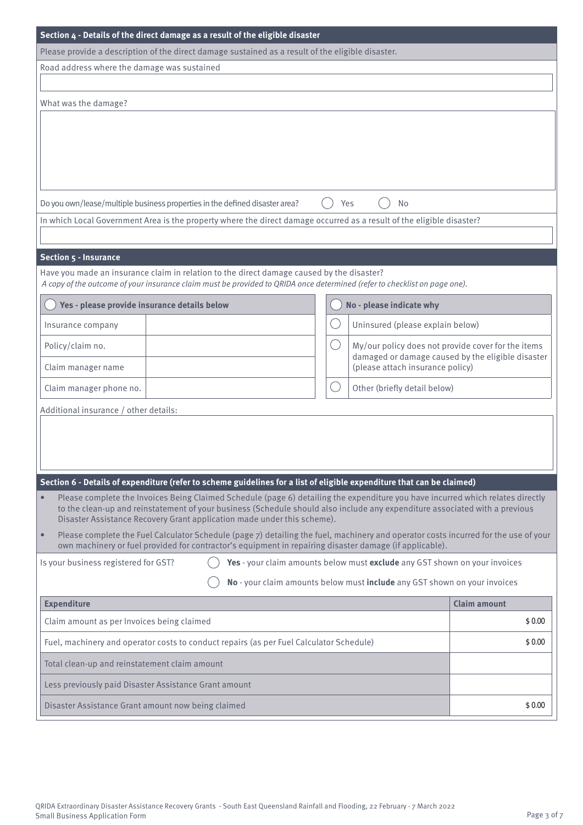| Section $4$ - Details of the direct damage as a result of the eligible disaster                                                                                                                                                                                                                                                           |           |                                                                                                         |
|-------------------------------------------------------------------------------------------------------------------------------------------------------------------------------------------------------------------------------------------------------------------------------------------------------------------------------------------|-----------|---------------------------------------------------------------------------------------------------------|
| Please provide a description of the direct damage sustained as a result of the eligible disaster.                                                                                                                                                                                                                                         |           |                                                                                                         |
| Road address where the damage was sustained                                                                                                                                                                                                                                                                                               |           |                                                                                                         |
|                                                                                                                                                                                                                                                                                                                                           |           |                                                                                                         |
| What was the damage?                                                                                                                                                                                                                                                                                                                      |           |                                                                                                         |
|                                                                                                                                                                                                                                                                                                                                           |           |                                                                                                         |
|                                                                                                                                                                                                                                                                                                                                           |           |                                                                                                         |
|                                                                                                                                                                                                                                                                                                                                           |           |                                                                                                         |
|                                                                                                                                                                                                                                                                                                                                           |           |                                                                                                         |
| Do you own/lease/multiple business properties in the defined disaster area?<br>In which Local Government Area is the property where the direct damage occurred as a result of the eligible disaster?                                                                                                                                      | Yes       | <b>No</b>                                                                                               |
|                                                                                                                                                                                                                                                                                                                                           |           |                                                                                                         |
| Section 5 - Insurance                                                                                                                                                                                                                                                                                                                     |           |                                                                                                         |
| Have you made an insurance claim in relation to the direct damage caused by the disaster?                                                                                                                                                                                                                                                 |           |                                                                                                         |
| A copy of the outcome of your insurance claim must be provided to QRIDA once determined (refer to checklist on page one).                                                                                                                                                                                                                 |           |                                                                                                         |
| Yes - please provide insurance details below                                                                                                                                                                                                                                                                                              |           | No - please indicate why                                                                                |
| Insurance company                                                                                                                                                                                                                                                                                                                         |           | Uninsured (please explain below)                                                                        |
| Policy/claim no.                                                                                                                                                                                                                                                                                                                          | $($ )     | My/our policy does not provide cover for the items<br>damaged or damage caused by the eligible disaster |
| Claim manager name                                                                                                                                                                                                                                                                                                                        |           | (please attach insurance policy)                                                                        |
| Claim manager phone no.                                                                                                                                                                                                                                                                                                                   | $(\quad)$ | Other (briefly detail below)                                                                            |
| Additional insurance / other details:                                                                                                                                                                                                                                                                                                     |           |                                                                                                         |
|                                                                                                                                                                                                                                                                                                                                           |           |                                                                                                         |
|                                                                                                                                                                                                                                                                                                                                           |           |                                                                                                         |
|                                                                                                                                                                                                                                                                                                                                           |           |                                                                                                         |
| Section 6 - Details of expenditure (refer to scheme guidelines for a list of eligible expenditure that can be claimed)                                                                                                                                                                                                                    |           |                                                                                                         |
| Please complete the Invoices Being Claimed Schedule (page 6) detailing the expenditure you have incurred which relates directly<br>to the clean-up and reinstatement of your business (Schedule should also include any expenditure associated with a previous<br>Disaster Assistance Recovery Grant application made under this scheme). |           |                                                                                                         |
| Please complete the Fuel Calculator Schedule (page 7) detailing the fuel, machinery and operator costs incurred for the use of your<br>$\bullet$<br>own machinery or fuel provided for contractor's equipment in repairing disaster damage (if applicable).                                                                               |           |                                                                                                         |
| Is your business registered for GST?                                                                                                                                                                                                                                                                                                      |           | Yes - your claim amounts below must exclude any GST shown on your invoices                              |
|                                                                                                                                                                                                                                                                                                                                           |           | No - your claim amounts below must include any GST shown on your invoices                               |
| <b>Expenditure</b>                                                                                                                                                                                                                                                                                                                        |           | <b>Claim amount</b>                                                                                     |
| Claim amount as per Invoices being claimed                                                                                                                                                                                                                                                                                                |           | \$0.00                                                                                                  |
| Fuel, machinery and operator costs to conduct repairs (as per Fuel Calculator Schedule)                                                                                                                                                                                                                                                   |           | \$0.00                                                                                                  |
| Total clean-up and reinstatement claim amount                                                                                                                                                                                                                                                                                             |           |                                                                                                         |
| Less previously paid Disaster Assistance Grant amount                                                                                                                                                                                                                                                                                     |           |                                                                                                         |
| Disaster Assistance Grant amount now being claimed                                                                                                                                                                                                                                                                                        |           | \$0.00                                                                                                  |
|                                                                                                                                                                                                                                                                                                                                           |           |                                                                                                         |
|                                                                                                                                                                                                                                                                                                                                           |           |                                                                                                         |
|                                                                                                                                                                                                                                                                                                                                           |           |                                                                                                         |
|                                                                                                                                                                                                                                                                                                                                           |           |                                                                                                         |
| QRIDA Extraordinary Disaster Assistance Recovery Grants - South East Queensland Rainfall and Flooding, 22 February - 7 March 2022                                                                                                                                                                                                         |           |                                                                                                         |
| <b>Small Business Application Form</b>                                                                                                                                                                                                                                                                                                    |           | Page 3 of 7                                                                                             |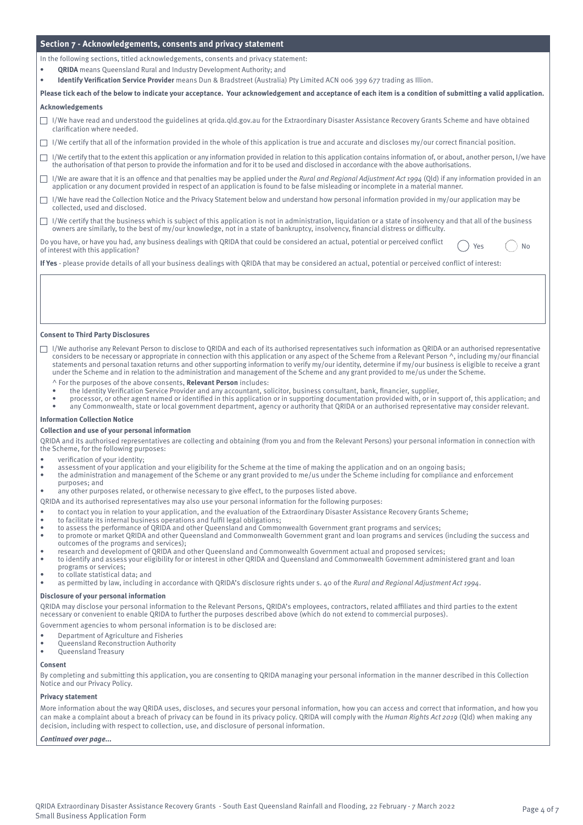#### **Section 7 - Acknowledgements, consents and privacy statement**

In the following sections, titled acknowledgements, consents and privacy statement:

- **• QRIDA** means Queensland Rural and Industry Development Authority; and
- **• Identify Verification Service Provider** means Dun & Bradstreet (Australia) Pty Limited ACN 006 399 677 trading as Illion.

**Please tick each of the below to indicate your acceptance. Your acknowledgement and acceptance of each item is a condition of submitting a valid application.**

#### **Acknowledgements**

- I/We have read and understood the guidelines at qrida.qld.gov.au for the Extraordinary Disaster Assistance Recovery Grants Scheme and have obtained clarification where needed.
- $\Box$  I/We certify that all of the information provided in the whole of this application is true and accurate and discloses my/our correct financial position.
- I/We certify that to the extent this application or any information provided in relation to this application contains information of, or about, another person, I/we have the authorisation of that person to provide the information and for it to be used and disclosed in accordance with the above authorisations.
- $\Box$  I/We are aware that it is an offence and that penalties may be applied under the Rural and Regional Adjustment Act 1994 (Qld) if any information provided in an application or any document provided in respect of an application is found to be false misleading or incomplete in a material manner.
- I/We have read the Collection Notice and the Privacy Statement below and understand how personal information provided in my/our application may be  $\Box$ collected, used and disclosed.
- $\Box$  I/We certify that the business which is subject of this application is not in administration, liquidation or a state of insolvency and that all of the business owners are similarly, to the best of my/our knowledge, not in a state of bankruptcy, insolvency, financial distress or difficulty.

Do you have, or have you had, any business dealings with QRIDA that could be considered an actual, potential or perceived conflict No<br>of interest with this application?

**If Yes** - please provide details of all your business dealings with QRIDA that may be considered an actual, potential or perceived conflict of interest:

#### **Consent to Third Party Disclosures**

- I/We authorise any Relevant Person to disclose to QRIDA and each of its authorised representatives such information as QRIDA or an authorised representative considers to be necessary or appropriate in connection with this application or any aspect of the Scheme from a Relevant Person  $\wedge$ , including my/our financial statements and personal taxation returns and other supporting information to verify my/our identity, determine if my/our business is eligible to receive a grant under the Scheme and in relation to the administration and management of the Scheme and any grant provided to me/us under the Scheme.
	- ^ For the purposes of the above consents, **Relevant Person** includes:
	- the Identity Verification Service Provider and any accountant, solicitor, business consultant, bank, financier, supplier,
	- processor, or other agent named or identified in this application or in supporting documentation provided with, or in support of, this application; and
	- any Commonwealth, state or local government department, agency or authority that QRIDA or an authorised representative may consider relevant.

#### **Information Collection Notice**

#### **Collection and use of your personal information**

QRIDA and its authorised representatives are collecting and obtaining (from you and from the Relevant Persons) your personal information in connection with the Scheme, for the following purposes:

- verification of your identity;
- assessment of your application and your eligibility for the Scheme at the time of making the application and on an ongoing basis;
- the administration and management of the Scheme or any grant provided to me/us under the Scheme including for compliance and enforcement
- purposes; and • any other purposes related, or otherwise necessary to give effect, to the purposes listed above.

QRIDA and its authorised representatives may also use your personal information for the following purposes:

- to contact you in relation to your application, and the evaluation of the Extraordinary Disaster Assistance Recovery Grants Scheme;
- to facilitate its internal business operations and fulfil legal obligations;
- to assess the performance of QRIDA and other Queensland and Commonwealth Government grant programs and services;
- to promote or market QRIDA and other Queensland and Commonwealth Government grant and loan programs and services (including the success and outcomes of the programs and services);
- research and development of QRIDA and other Queensland and Commonwealth Government actual and proposed services;
- to identify and assess your eligibility for or interest in other QRIDA and Queensland and Commonwealth Government administered grant and loan programs or services;
- to collate statistical data; and

as permitted by law, including in accordance with QRIDA's disclosure rights under s. 40 of the Rural and Regional Adjustment Act 1994.

#### **Disclosure of your personal information**

QRIDA may disclose your personal information to the Relevant Persons, QRIDA's employees, contractors, related affiliates and third parties to the extent necessary or convenient to enable QRIDA to further the purposes described above (which do not extend to commercial purposes).

Government agencies to whom personal information is to be disclosed are:

- Department of Agriculture and Fisheries
- Queensland Reconstruction Authority
- Queensland Treasury

#### **Consent**

By completing and submitting this application, you are consenting to QRIDA managing your personal information in the manner described in this Collection Notice and our Privacy Policy.

#### **Privacy statement**

More information about the way QRIDA uses, discloses, and secures your personal information, how you can access and correct that information, and how you can make a complaint about a breach of privacy can be found in its privacy policy. QRIDA will comply with the Human Rights Act 2019 (Qld) when making any decision, including with respect to collection, use, and disclosure of personal information.

#### **Continued over page...**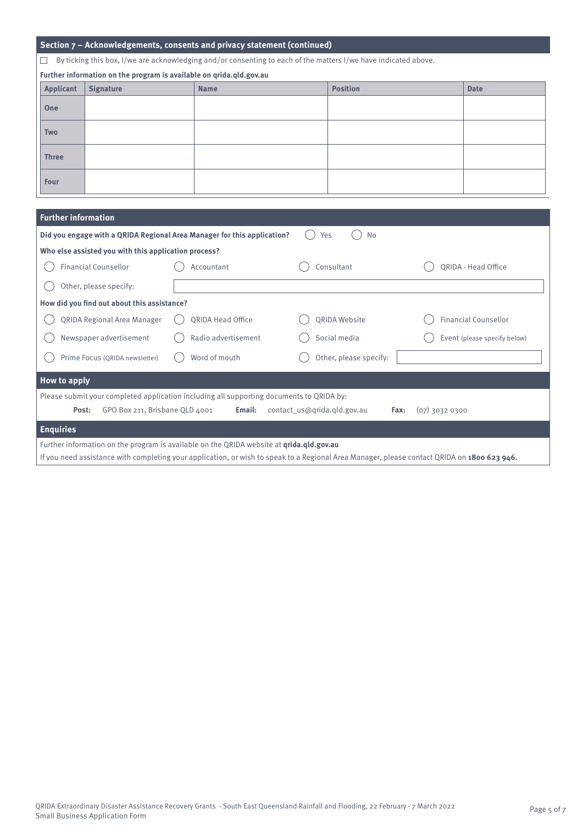| Section 7 - Acknowledgements, consents and privacy statement (continued)                                                                    |                                                      |                                                                                                 |     |                        |  |                              |  |  |  |  |
|---------------------------------------------------------------------------------------------------------------------------------------------|------------------------------------------------------|-------------------------------------------------------------------------------------------------|-----|------------------------|--|------------------------------|--|--|--|--|
| By ticking this box, I/we are acknowledging and/or consenting to each of the matters I/we have indicated above.                             |                                                      |                                                                                                 |     |                        |  |                              |  |  |  |  |
| Further information on the program is available on qrida.qld.gov.au                                                                         |                                                      |                                                                                                 |     |                        |  |                              |  |  |  |  |
| <b>Applicant</b>                                                                                                                            | <b>Signature</b>                                     | <b>Name</b>                                                                                     |     | <b>Position</b>        |  | <b>Date</b>                  |  |  |  |  |
| One                                                                                                                                         |                                                      |                                                                                                 |     |                        |  |                              |  |  |  |  |
| Two                                                                                                                                         |                                                      |                                                                                                 |     |                        |  |                              |  |  |  |  |
| <b>Three</b>                                                                                                                                |                                                      |                                                                                                 |     |                        |  |                              |  |  |  |  |
| <b>Four</b>                                                                                                                                 |                                                      |                                                                                                 |     |                        |  |                              |  |  |  |  |
|                                                                                                                                             |                                                      |                                                                                                 |     |                        |  |                              |  |  |  |  |
|                                                                                                                                             | <b>Further information</b>                           |                                                                                                 |     |                        |  |                              |  |  |  |  |
|                                                                                                                                             |                                                      | Did you engage with a QRIDA Regional Area Manager for this application?                         | Yes | No                     |  |                              |  |  |  |  |
|                                                                                                                                             | Who else assisted you with this application process? |                                                                                                 |     |                        |  |                              |  |  |  |  |
|                                                                                                                                             | <b>Financial Counsellor</b>                          | Accountant                                                                                      |     | Consultant             |  | QRIDA - Head Office          |  |  |  |  |
|                                                                                                                                             | Other, please specify:                               |                                                                                                 |     |                        |  |                              |  |  |  |  |
|                                                                                                                                             | How did you find out about this assistance?          |                                                                                                 |     |                        |  |                              |  |  |  |  |
|                                                                                                                                             | QRIDA Regional Area Manager                          | <b>QRIDA Head Office</b>                                                                        |     | QRIDA Website          |  | <b>Financial Counsellor</b>  |  |  |  |  |
|                                                                                                                                             | Newspaper advertisement                              | Radio advertisement                                                                             |     | Social media           |  | Event (please specify below) |  |  |  |  |
|                                                                                                                                             | Prime Focus (QRIDA newsletter)                       | Word of mouth                                                                                   |     | Other, please specify: |  |                              |  |  |  |  |
| <b>How to apply</b>                                                                                                                         |                                                      |                                                                                                 |     |                        |  |                              |  |  |  |  |
| Please submit your completed application including all supporting documents to QRIDA by:                                                    |                                                      |                                                                                                 |     |                        |  |                              |  |  |  |  |
| GPO Box 211, Brisbane QLD 4001<br>contact_us@qrida.qld.gov.au<br>(07) 3032 0300<br>Post:<br>Email:<br>Fax:                                  |                                                      |                                                                                                 |     |                        |  |                              |  |  |  |  |
| <b>Enquiries</b>                                                                                                                            |                                                      |                                                                                                 |     |                        |  |                              |  |  |  |  |
|                                                                                                                                             |                                                      | Further information on the program is available on the QRIDA website at <i>grida.gld.gov.au</i> |     |                        |  |                              |  |  |  |  |
| If you need assistance with completing your application, or wish to speak to a Regional Area Manager, please contact QRIDA on 1800 623 946. |                                                      |                                                                                                 |     |                        |  |                              |  |  |  |  |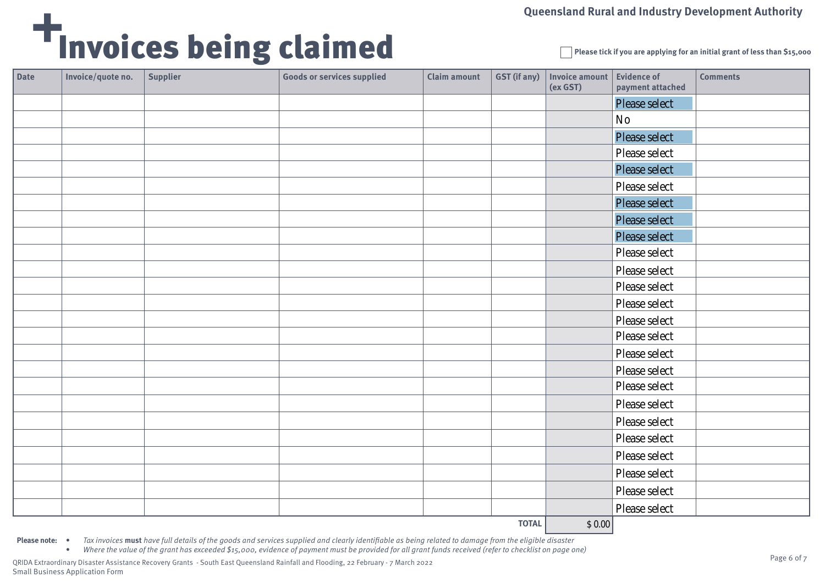# Invoices being claimed

**Please tick if you are applying for an initial grant of less than \$15,000**

| Date | Invoice/quote no. | <b>Supplier</b> | <b>Goods or services supplied</b> | <b>Claim amount</b> | <b>GST</b> (if any) | Invoice amount<br>(ex GST) | <b>Evidence of</b><br>payment attached | <b>Comments</b> |
|------|-------------------|-----------------|-----------------------------------|---------------------|---------------------|----------------------------|----------------------------------------|-----------------|
|      |                   |                 |                                   |                     |                     |                            | Please select                          |                 |
|      |                   |                 |                                   |                     |                     |                            | $\mathbf{N}\mathbf{o}$                 |                 |
|      |                   |                 |                                   |                     |                     |                            | Please select                          |                 |
|      |                   |                 |                                   |                     |                     |                            | Please select                          |                 |
|      |                   |                 |                                   |                     |                     |                            | <b>Please select</b>                   |                 |
|      |                   |                 |                                   |                     |                     |                            | Please select                          |                 |
|      |                   |                 |                                   |                     |                     |                            | <b>Please select</b>                   |                 |
|      |                   |                 |                                   |                     |                     |                            | Please select                          |                 |
|      |                   |                 |                                   |                     |                     |                            | <b>Please select</b>                   |                 |
|      |                   |                 |                                   |                     |                     |                            | Please select                          |                 |
|      |                   |                 |                                   |                     |                     |                            | Please select                          |                 |
|      |                   |                 |                                   |                     |                     |                            | Please select                          |                 |
|      |                   |                 |                                   |                     |                     |                            | Please select                          |                 |
|      |                   |                 |                                   |                     |                     |                            | Please select                          |                 |
|      |                   |                 |                                   |                     |                     |                            | Please select                          |                 |
|      |                   |                 |                                   |                     |                     |                            | Please select                          |                 |
|      |                   |                 |                                   |                     |                     |                            | Please select                          |                 |
|      |                   |                 |                                   |                     |                     |                            | Please select                          |                 |
|      |                   |                 |                                   |                     |                     |                            | Please select                          |                 |
|      |                   |                 |                                   |                     |                     |                            | Please select                          |                 |
|      |                   |                 |                                   |                     |                     |                            | Please select                          |                 |
|      |                   |                 |                                   |                     |                     |                            | Please select                          |                 |
|      |                   |                 |                                   |                     |                     |                            | Please select                          |                 |
|      |                   |                 |                                   |                     |                     |                            | Please select                          |                 |
|      |                   |                 |                                   |                     |                     |                            | Please select                          |                 |
|      |                   |                 |                                   |                     |                     |                            |                                        |                 |

**TOTAL**  $|$ 0.00|$ 

**Please note:** • Tax invoices must have full details of the goods and services supplied and clearly identifiable as being related to damage from the eligible disaster

• Where the value of the grant has exceeded \$15,000, evidence of payment must be provided for all grant funds received (refer to checklist on page one)

QRIDA Extraordinary Disaster Assistance Recovery Grants - South East Queensland Rainfall and Flooding, 22 February - 7 March 2022 Small Business Application Form